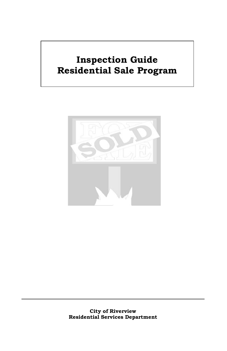# **Inspection Guide Residential Sale Program**

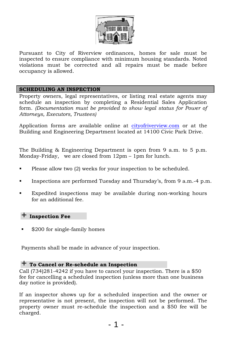

Pursuant to City of Riverview ordinances, homes for sale must be inspected to ensure compliance with minimum housing standards. Noted violations must be corrected and all repairs must be made before occupancy is allowed.

## **SCHEDULING AN INSPECTION**

Property owners, legal representatives, or listing real estate agents may schedule an inspection by completing a Residential Sales Application form. *(Documentation must be provided to show legal status for Power of Attorneys, Executors, Trustees)*

Application forms are available online at cityofriverview.com or at the Building and Engineering Department located at 14100 Civic Park Drive.

The Building & Engineering Department is open from 9 a.m. to 5 p.m. Monday-Friday, we are closed from 12pm – 1pm for lunch.

- Please allow two (2) weeks for your inspection to be scheduled.
- Inspections are performed Tuesday and Thursday's, from 9 a.m.-4 p.m.
- Expedited inspections may be available during non-working hours for an additional fee.

#### + **Inspection Fee**

\$200 for single-family homes

Payments shall be made in advance of your inspection.

# + **To Cancel or Re-schedule an Inspection**

Call (734)281-4242 if you have to cancel your inspection. There is a \$50 fee for cancelling a scheduled inspection (unless more than one business day notice is provided).

If an inspector shows up for a scheduled inspection and the owner or representative is not present, the inspection will not be performed. The property owner must re-schedule the inspection and a \$50 fee will be charged.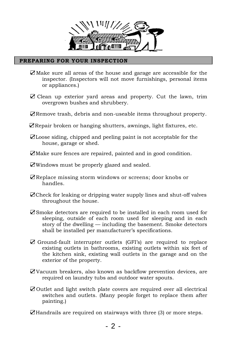

## **PREPARING FOR YOUR INSPECTION**

- ☑Make sure all areas of the house and garage are accessible for the inspector. (Inspectors will not move furnishings, personal items or appliances.)
- ☑ Clean up exterior yard areas and property. Cut the lawn, trim overgrown bushes and shrubbery.
- ☑Remove trash, debris and non-useable items throughout property.
- ☑Repair broken or hanging shutters, awnings, light fixtures, etc.
- ☑Loose siding, chipped and peeling paint is not acceptable for the house, garage or shed.
- ☑Make sure fences are repaired, painted and in good condition.
- ☑Windows must be properly glazed and sealed.
- ☑Replace missing storm windows or screens; door knobs or handles.
- ☑Check for leaking or dripping water supply lines and shut-off valves throughout the house.
- ☑Smoke detectors are required to be installed in each room used for sleeping, outside of each room used for sleeping and in each story of the dwelling — including the basement. Smoke detectors shall be installed per manufacturer's specifications.
- ☑ Ground-fault interrupter outlets (GFI's) are required to replace existing outlets in bathrooms, existing outlets within six feet of the kitchen sink, existing wall outlets in the garage and on the exterior of the property.
- ☑Vacuum breakers, also known as backflow prevention devices, are required on laundry tubs and outdoor water spouts.
- ☑Outlet and light switch plate covers are required over all electrical switches and outlets. (Many people forget to replace them after painting.)

☑Handrails are required on stairways with three (3) or more steps.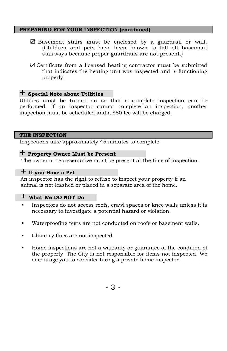## **PREPARING FOR YOUR INSPECTION (continued)**

- ☑ Basement stairs must be enclosed by a guardrail or wall. (Children and pets have been known to fall off basement stairways because proper guardrails are not present.)
- ☑ Certificate from a licensed heating contractor must be submitted that indicates the heating unit was inspected and is functioning properly.

# + **Special Note about Utilities**

Utilities must be turned on so that a complete inspection can be performed. If an inspector cannot complete an inspection, another inspection must be scheduled and a \$50 fee will be charged.

#### **THE INSPECTION**

Inspections take approximately 45 minutes to complete.

# + **Property Owner Must be Present**

The owner or representative must be present at the time of inspection.

# + **If you Have a Pet**

An inspector has the right to refuse to inspect your property if an animal is not leashed or placed in a separate area of the home.

## + **What We DO NOT Do**

- Inspectors do not access roofs, crawl spaces or knee walls unless it is necessary to investigate a potential hazard or violation.
- Waterproofing tests are not conducted on roofs or basement walls.
- Chimney flues are not inspected.
- Home inspections are not a warranty or guarantee of the condition of the property. The City is not responsible for items not inspected. We encourage you to consider hiring a private home inspector.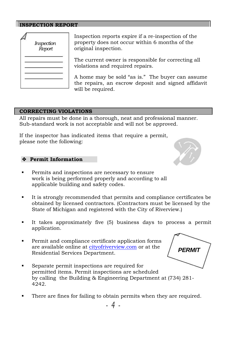## **INSPECTION REPORT**

| Inspection<br>Report |
|----------------------|
|                      |
|                      |
|                      |

Inspection reports expire if a re-inspection of the property does not occur within 6 months of the original inspection.

The current owner is responsible for correcting all violations and required repairs.

A home may be sold "as is." The buyer can assume the repairs, an escrow deposit and signed affidavit will be required.

# **CORRECTING VIOLATIONS**

All repairs must be done in a thorough, neat and professional manner. Sub-standard work is not acceptable and will not be approved.

If the inspector has indicated items that require a permit, please note the following:

#### **Permit Information**

- **Permits and inspections are necessary to ensure** work is being performed properly and according to all applicable building and safety codes.
- It is strongly recommended that permits and compliance certificates be obtained by licensed contractors. (Contractors must be licensed by the State of Michigan and registered with the City of Riverview.)
- It takes approximately five (5) business days to process a permit application.
- Permit and compliance certificate application forms are available online at cityofriverview.com or at the Residential Services Department.
- Separate permit inspections are required for permitted items. Permit inspections are scheduled by calling the Building & Engineering Department at (734) 281- 4242.
- There are fines for failing to obtain permits when they are required.



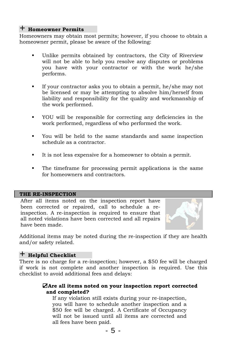# + **Homeowner Permits**

Homeowners may obtain most permits; however, if you choose to obtain a homeowner permit, please be aware of the following:

- Unlike permits obtained by contractors, the City of Riverview will not be able to help you resolve any disputes or problems you have with your contractor or with the work he/she performs.
- If your contractor asks you to obtain a permit, he/she may not be licensed or may be attempting to absolve him/herself from liability and responsibility for the quality and workmanship of the work performed.
- YOU will be responsible for correcting any deficiencies in the work performed, regardless of who performed the work.
- You will be held to the same standards and same inspection schedule as a contractor.
- It is not less expensive for a homeowner to obtain a permit.
- The timeframe for processing permit applications is the same for homeowners and contractors.

#### **THE RE-INSPECTION**

After all items noted on the inspection report have been corrected or repaired, call to schedule a reinspection. A re-inspection is required to ensure that all noted violations have been corrected and all repairs have been made.



Additional items may be noted during the re-inspection if they are health and/or safety related.

# + **Helpful Checklist**

There is no charge for a re-inspection; however, a \$50 fee will be charged if work is not complete and another inspection is required. Use this checklist to avoid additional fees and delays:

# ☑**Are all items noted on your inspection report corrected and completed?**

If any violation still exists during your re-inspection, you will have to schedule another inspection and a \$50 fee will be charged. A Certificate of Occupancy will not be issued until all items are corrected and all fees have been paid.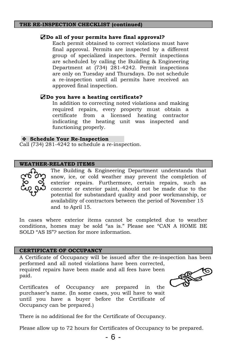#### **THE RE-INSPECTION CHECKLIST (continued)**

#### ☑**Do all of your permits have final approval?**

Each permit obtained to correct violations must have final approval. Permits are inspected by a different group of specialized inspectors. Permit inspections are scheduled by calling the Building & Engineering Department at (734) 281-4242. Permit inspections are only on Tuesday and Thursdays. Do not schedule a re-inspection until all permits have received an approved final inspection.

#### ☑**Do you have a heating certificate?**

In addition to correcting noted violations and making required repairs, every property must obtain a certificate from a licensed heating contractor indicating the heating unit was inspected and functioning properly.

#### **Schedule Your Re-Inspection**

Call (734) 281-4242 to schedule a re-inspection.

#### **WEATHER-RELATED ITEMS**



The Building & Engineering Department understands that snow, ice, or cold weather may prevent the completion of exterior repairs. Furthermore, certain repairs, such as concrete or exterior paint, should not be made due to the potential for substandard quality and poor workmanship, or availability of contractors between the period of November 15 and to April 15.

In cases where exterior items cannot be completed due to weather conditions, homes may be sold "as is." Please see "CAN A HOME BE SOLD "AS IS"? section for more information.

#### **CERTIFICATE OF OCCUPANCY**

A Certificate of Occupancy will be issued after the re-inspection has been performed and all noted violations have been corrected,

required repairs have been made and all fees have been paid.

Certificates of Occupancy are prepared in the purchaser's name. (In some cases, you will have to wait until you have a buyer before the Certificate of Occupancy can be prepared.)

There is no additional fee for the Certificate of Occupancy.

Please allow up to 72 hours for Certificates of Occupancy to be prepared.

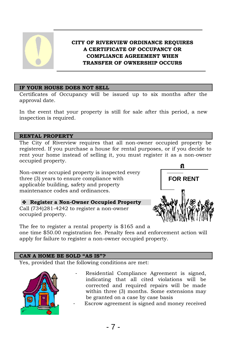

# **CITY OF RIVERVIEW ORDINANCE REQUIRES A CERTIFICATE OF OCCUPANCY OR COMPLIANCE AGREEMENT WHEN TRANSFER OF OWNERSHIP OCCURS**

# **IF YOUR HOUSE DOES NOT SELL**

Certificates of Occupancy will be issued up to six months after the approval date.

In the event that your property is still for sale after this period, a new inspection is required.

## **RENTAL PROPERTY**

The City of Riverview requires that all non-owner occupied property be registered. If you purchase a house for rental purposes, or if you decide to rent your home instead of selling it, you must register it as a non-owner occupied property.

Non-owner occupied property is inspected every three (3) years to ensure compliance with applicable building, safety and property maintenance codes and ordinances.

# **Register a Non-Owner Occupied Property**

Call (734)281-4242 to register a non-owner occupied property.



The fee to register a rental property is \$165 and a one time \$50.00 registration fee. Penalty fees and enforcement action will apply for failure to register a non-owner occupied property.

# **CAN A HOME BE SOLD "AS IS"?**

Yes, provided that the following conditions are met:



- Residential Compliance Agreement is signed, indicating that all cited violations will be corrected and required repairs will be made within three (3) months. Some extensions may be granted on a case by case basis
	- Escrow agreement is signed and money received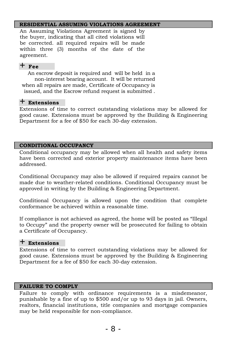## **RESIDENTIAL ASSUMING VIOLATIONS AGREEMENT**

An Assuming Violations Agreement is signed by the buyer, indicating that all cited violations will be corrected. all required repairs will be made within three (3) months of the date of the agreement.

# + **Fee**

An escrow deposit is required and will be held in a non-interest bearing account. It will be returned when all repairs are made, Certificate of Occupancy is issued, and the Escrow refund request is submitted .

# + **Extensions**

Extensions of time to correct outstanding violations may be allowed for good cause. Extensions must be approved by the Building & Engineering Department for a fee of \$50 for each 30-day extension.

# **CONDITIONAL OCCUPANCY**

Conditional occupancy may be allowed when all health and safety items have been corrected and exterior property maintenance items have been addressed.

Conditional Occupancy may also be allowed if required repairs cannot be made due to weather-related conditions. Conditional Occupancy must be approved in writing by the Building & Engineering Department.

Conditional Occupancy is allowed upon the condition that complete conformance be achieved within a reasonable time.

If compliance is not achieved as agreed, the home will be posted as "Illegal to Occupy" and the property owner will be prosecuted for failing to obtain a Certificate of Occupancy.

# + **Extensions**

Extensions of time to correct outstanding violations may be allowed for good cause. Extensions must be approved by the Building & Engineering Department for a fee of \$50 for each 30-day extension.

# **FAILURE TO COMPLY**

Failure to comply with ordinance requirements is a misdemeanor, punishable by a fine of up to \$500 and/or up to 93 days in jail. Owners, realtors, financial institutions, title companies and mortgage companies may be held responsible for non-compliance.